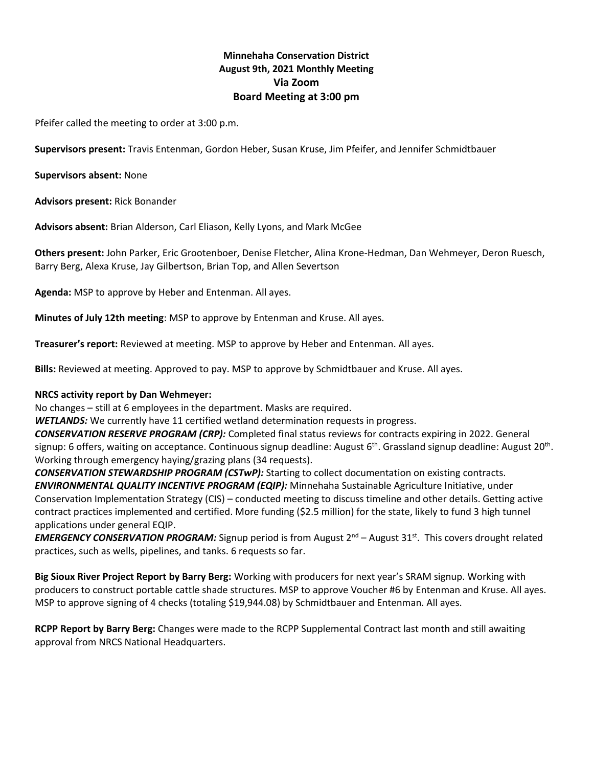# **Minnehaha Conservation District August 9th, 2021 Monthly Meeting Via Zoom Board Meeting at 3:00 pm**

Pfeifer called the meeting to order at 3:00 p.m.

**Supervisors present:** Travis Entenman, Gordon Heber, Susan Kruse, Jim Pfeifer, and Jennifer Schmidtbauer

**Supervisors absent:** None

**Advisors present:** Rick Bonander

**Advisors absent:** Brian Alderson, Carl Eliason, Kelly Lyons, and Mark McGee

**Others present:** John Parker, Eric Grootenboer, Denise Fletcher, Alina Krone-Hedman, Dan Wehmeyer, Deron Ruesch, Barry Berg, Alexa Kruse, Jay Gilbertson, Brian Top, and Allen Severtson

**Agenda:** MSP to approve by Heber and Entenman. All ayes.

**Minutes of July 12th meeting**: MSP to approve by Entenman and Kruse. All ayes.

**Treasurer's report:** Reviewed at meeting. MSP to approve by Heber and Entenman. All ayes.

**Bills:** Reviewed at meeting. Approved to pay. MSP to approve by Schmidtbauer and Kruse. All ayes.

## **NRCS activity report by Dan Wehmeyer:**

No changes – still at 6 employees in the department. Masks are required.

*WETLANDS:* We currently have 11 certified wetland determination requests in progress.

*CONSERVATION RESERVE PROGRAM (CRP):* Completed final status reviews for contracts expiring in 2022. General signup: 6 offers, waiting on acceptance. Continuous signup deadline: August 6<sup>th</sup>. Grassland signup deadline: August 20<sup>th</sup>. Working through emergency haying/grazing plans (34 requests).

*CONSERVATION STEWARDSHIP PROGRAM (CSTwP):* Starting to collect documentation on existing contracts. *ENVIRONMENTAL QUALITY INCENTIVE PROGRAM (EQIP):* Minnehaha Sustainable Agriculture Initiative, under Conservation Implementation Strategy (CIS) – conducted meeting to discuss timeline and other details. Getting active contract practices implemented and certified. More funding (\$2.5 million) for the state, likely to fund 3 high tunnel applications under general EQIP.

*EMERGENCY CONSERVATION PROGRAM:* Signup period is from August 2<sup>nd</sup> – August 31<sup>st</sup>. This covers drought related practices, such as wells, pipelines, and tanks. 6 requests so far.

**Big Sioux River Project Report by Barry Berg:** Working with producers for next year's SRAM signup. Working with producers to construct portable cattle shade structures. MSP to approve Voucher #6 by Entenman and Kruse. All ayes. MSP to approve signing of 4 checks (totaling \$19,944.08) by Schmidtbauer and Entenman. All ayes.

**RCPP Report by Barry Berg:** Changes were made to the RCPP Supplemental Contract last month and still awaiting approval from NRCS National Headquarters.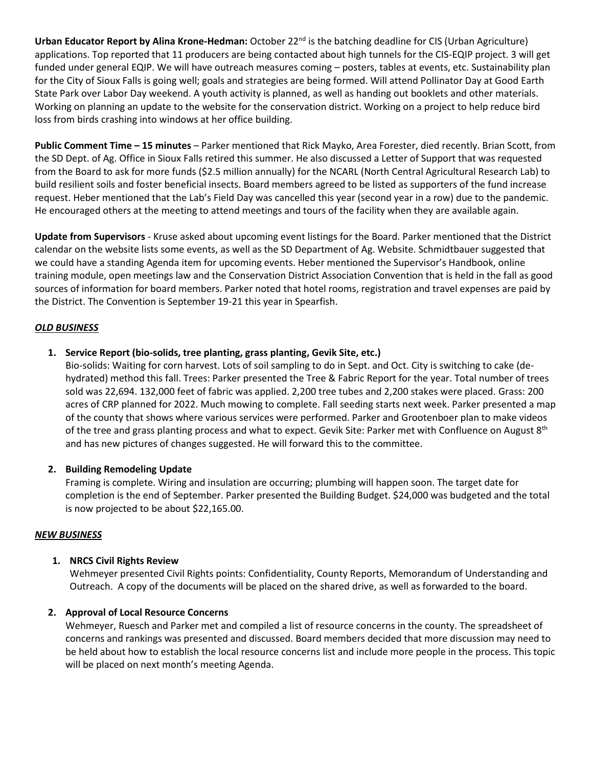**Urban Educator Report by Alina Krone-Hedman:** October 22<sup>nd</sup> is the batching deadline for CIS (Urban Agriculture) applications. Top reported that 11 producers are being contacted about high tunnels for the CIS-EQIP project. 3 will get funded under general EQIP. We will have outreach measures coming – posters, tables at events, etc. Sustainability plan for the City of Sioux Falls is going well; goals and strategies are being formed. Will attend Pollinator Day at Good Earth State Park over Labor Day weekend. A youth activity is planned, as well as handing out booklets and other materials. Working on planning an update to the website for the conservation district. Working on a project to help reduce bird loss from birds crashing into windows at her office building.

**Public Comment Time – 15 minutes** – Parker mentioned that Rick Mayko, Area Forester, died recently. Brian Scott, from the SD Dept. of Ag. Office in Sioux Falls retired this summer. He also discussed a Letter of Support that was requested from the Board to ask for more funds (\$2.5 million annually) for the NCARL (North Central Agricultural Research Lab) to build resilient soils and foster beneficial insects. Board members agreed to be listed as supporters of the fund increase request. Heber mentioned that the Lab's Field Day was cancelled this year (second year in a row) due to the pandemic. He encouraged others at the meeting to attend meetings and tours of the facility when they are available again.

**Update from Supervisors** - Kruse asked about upcoming event listings for the Board. Parker mentioned that the District calendar on the website lists some events, as well as the SD Department of Ag. Website. Schmidtbauer suggested that we could have a standing Agenda item for upcoming events. Heber mentioned the Supervisor's Handbook, online training module, open meetings law and the Conservation District Association Convention that is held in the fall as good sources of information for board members. Parker noted that hotel rooms, registration and travel expenses are paid by the District. The Convention is September 19-21 this year in Spearfish.

## *OLD BUSINESS*

## **1. Service Report (bio-solids, tree planting, grass planting, Gevik Site, etc.)**

Bio-solids: Waiting for corn harvest. Lots of soil sampling to do in Sept. and Oct. City is switching to cake (dehydrated) method this fall. Trees: Parker presented the Tree & Fabric Report for the year. Total number of trees sold was 22,694. 132,000 feet of fabric was applied. 2,200 tree tubes and 2,200 stakes were placed. Grass: 200 acres of CRP planned for 2022. Much mowing to complete. Fall seeding starts next week. Parker presented a map of the county that shows where various services were performed. Parker and Grootenboer plan to make videos of the tree and grass planting process and what to expect. Gevik Site: Parker met with Confluence on August 8<sup>th</sup> and has new pictures of changes suggested. He will forward this to the committee.

## **2. Building Remodeling Update**

Framing is complete. Wiring and insulation are occurring; plumbing will happen soon. The target date for completion is the end of September. Parker presented the Building Budget. \$24,000 was budgeted and the total is now projected to be about \$22,165.00.

## *NEW BUSINESS*

## **1. NRCS Civil Rights Review**

Wehmeyer presented Civil Rights points: Confidentiality, County Reports, Memorandum of Understanding and Outreach. A copy of the documents will be placed on the shared drive, as well as forwarded to the board.

# **2. Approval of Local Resource Concerns**

Wehmeyer, Ruesch and Parker met and compiled a list of resource concerns in the county. The spreadsheet of concerns and rankings was presented and discussed. Board members decided that more discussion may need to be held about how to establish the local resource concerns list and include more people in the process. This topic will be placed on next month's meeting Agenda.